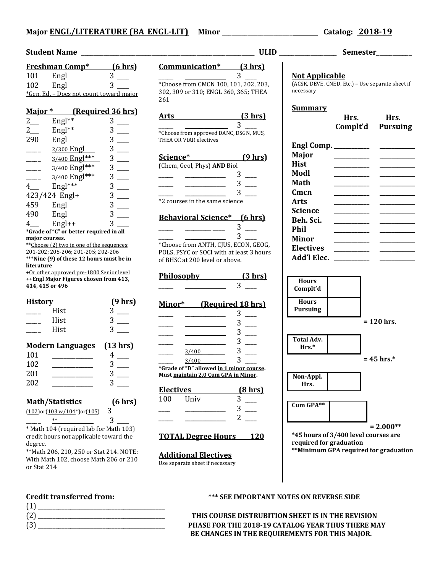### **Major ENGL/LITERATURE (BA\_ENGL-LIT) Minor** \_\_\_\_\_\_\_\_\_\_\_\_\_\_\_\_\_\_\_\_\_\_ **Catalog: 2018-19**

|                                                                               | <u>Freshman Comp*</u>                   | <u>(6 hrs)</u> |  |
|-------------------------------------------------------------------------------|-----------------------------------------|----------------|--|
| 101                                                                           | Engl                                    | 3              |  |
| 102                                                                           | Engl                                    | 3              |  |
|                                                                               | *Gen. Ed. - Does not count toward major |                |  |
|                                                                               |                                         |                |  |
| Major*<br>(Required 36 hrs)                                                   |                                         |                |  |
| $2$ <sub>—</sub>                                                              | Engl**                                  | 3              |  |
| $2$ <sub>——</sub>                                                             | Engl**                                  | 3              |  |
| 290                                                                           | Engl                                    | 3              |  |
|                                                                               | 2/300 Engl                              | 3              |  |
|                                                                               | 3/400 Engl***                           | 3              |  |
|                                                                               | 3/400 Engl***                           | 3              |  |
|                                                                               | 3/400 Engl***                           | 3              |  |
| $4$ <sub>—</sub>                                                              | $Engl***$                               | 3              |  |
|                                                                               | 423/424 Engl+                           | 3              |  |
| 459 Engl                                                                      |                                         | 3              |  |
| 490                                                                           | Engl                                    | 3              |  |
| $4 \qquad \qquad$                                                             | $Engl++$                                | 3              |  |
| *Grade of "C" or better required in all                                       |                                         |                |  |
| major courses.<br>**Choose (2) two in one of the sequences:                   |                                         |                |  |
| 201-202; 205-206; 201-205; 202-206                                            |                                         |                |  |
| ***Nine (9) of these 12 hours must be in                                      |                                         |                |  |
| literature<br>+Or other approved pre-1800 Senior level                        |                                         |                |  |
| ++Engl Major Figures chosen from 413,                                         |                                         |                |  |
| 414, 415 or 496                                                               |                                         |                |  |
| <b>History</b>                                                                |                                         | <u>(9 hrs)</u> |  |
|                                                                               | Hist                                    | 3              |  |
|                                                                               | Hist                                    | 3              |  |
|                                                                               | Hist                                    |                |  |
| <u> Modern Languages (13 hrs)</u>                                             |                                         |                |  |
| 101                                                                           |                                         | 4              |  |
| 102                                                                           |                                         | 3              |  |
| 201                                                                           |                                         | 3              |  |
|                                                                               |                                         |                |  |
| 202                                                                           |                                         | 3              |  |
|                                                                               |                                         | <u>(6 hrs)</u> |  |
| <u> Math/Statistics</u><br>3<br>$(102)$ or $(103 \text{ w}/104^*)$ or $(105)$ |                                         |                |  |
|                                                                               | $**$                                    | 3              |  |
| * Math 104 (required lab for Math 103)                                        |                                         |                |  |
| credit hours not applicable toward the                                        |                                         |                |  |
| degree.                                                                       |                                         |                |  |
| ** Math 206, 210, 250 or Stat 214. NOTE:                                      |                                         |                |  |
|                                                                               | With Math 102, choose Math 206 or 210   |                |  |
| or Stat 214                                                                   |                                         |                |  |

## **Student Name** \_\_\_\_\_\_\_\_\_\_\_\_\_\_\_\_\_\_\_\_\_\_\_\_\_\_\_\_\_\_\_\_\_\_\_\_\_\_\_\_\_\_\_\_\_\_\_\_\_\_\_\_\_\_ **ULID** \_\_\_\_\_\_\_\_\_\_\_\_\_\_\_\_\_\_ **Semester**\_\_\_\_\_\_\_\_\_\_\_ **Communication\* (3 hrs)**  $\overline{\phantom{a}}$  3  $\overline{\phantom{a}}$ \*Choose from CMCN 100, 101, 202, 203, 302, 309 or 310; ENGL 360, 365; THEA 261 **Arts (3 hrs)**  $_3$ \*Choose from approved DANC, DSGN, MUS, THEA OR VIAR electives **Science\* (9 hrs)** (Chem, Geol, Phys) **AND** Biol  $\frac{1}{\sqrt{2\pi}}$   $\frac{1}{\sqrt{2\pi}}$   $\frac{3}{\sqrt{2\pi}}$  $3$   $\equiv$  $3$  \_\_\_\_\_\_\_ \*2 courses in the same science **Behavioral Science\* (6 hrs)**  $\frac{1}{\sqrt{2\pi}}$   $\frac{1}{\sqrt{2\pi}}$   $\frac{3}{\sqrt{2\pi}}$  $_3$ \*Choose from ANTH, CJUS, ECON, GEOG, POLS, PSYC or SOCI with at least 3 hours of BHSC at 200 level or above. **Philosophy (3 hrs)**  $\frac{3}{2}$ **Minor\* (Required 18 hrs)**  $\frac{3}{2}$  $3$   $\equiv$  $\frac{3}{2}$   $\frac{3}{2}$  $\frac{3}{2}$  $\frac{3/400}{\frac{3}{\sqrt{2}}}$  3  $\frac{3/400}{\frac{3}{\sqrt{2}}}$  3 **\*Grade of "D" allowed in 1 minor course. Must maintain 2.0 Cum GPA in Minor. Electives (8 hrs)** 100 Univ 3  $3$   $\qquad$  $2 \Box$ **TOTAL Degree Hours 120 Additional Electives** Use separate sheet if necessary

## **Not Applicable** (ACSK, DEVE, CNED, Etc.) – Use separate sheet if necessary **Summary Hrs. Hrs. Complt'd Pursuing Engl Comp. \_\_\_\_\_\_\_\_\_\_\_\_ \_\_\_\_\_\_\_\_\_\_\_\_ Major \_\_\_\_\_\_\_\_\_\_\_\_ \_\_\_\_\_\_\_\_\_\_\_\_ Hist \_\_\_\_\_\_\_\_\_\_\_\_ \_\_\_\_\_\_\_\_\_\_\_\_ Modl \_\_\_\_\_\_\_\_\_\_\_\_ \_\_\_\_\_\_\_\_\_\_\_\_ Math \_\_\_\_\_\_\_\_\_\_\_\_ \_\_\_\_\_\_\_\_\_\_\_\_ Cmcn \_\_\_\_\_\_\_\_\_\_\_\_ \_\_\_\_\_\_\_\_\_\_\_\_ Arts \_\_\_\_\_\_\_\_\_\_\_\_ \_\_\_\_\_\_\_\_\_\_\_\_ Science \_\_\_\_\_\_\_\_\_\_\_\_ \_\_\_\_\_\_\_\_\_\_\_\_ Beh. Sci. \_\_\_\_\_\_\_\_\_\_\_\_ \_\_\_\_\_\_\_\_\_\_\_\_ Phil \_\_\_\_\_\_\_\_\_\_\_\_ \_\_\_\_\_\_\_\_\_\_\_\_ Minor \_\_\_\_\_\_\_\_\_\_\_\_ \_\_\_\_\_\_\_\_\_\_\_\_ Electives \_\_\_\_\_\_\_\_\_\_\_\_ \_\_\_\_\_\_\_\_\_\_\_\_ Add'l Elec. \_\_\_\_\_\_\_\_\_\_\_\_ \_\_\_\_\_\_\_\_\_\_\_\_ Hours Complt'd Hours Pursuing = 120 hrs. Total Adv. Hrs.\* = 45 hrs.\* Non-Appl. Hrs. Cum GPA\*\* = 2.000\*\* \*45 hours of 3/400 level courses are required for graduation \*\*Minimum GPA required for graduation**

(1) \_\_\_\_\_\_\_\_\_\_\_\_\_\_\_\_\_\_\_\_\_\_\_\_\_\_\_\_\_\_\_\_\_\_\_\_\_\_\_\_\_\_\_

### **Credit transferred from: \*\*\* SEE IMPORTANT NOTES ON REVERSE SIDE**

(2) \_\_\_\_\_\_\_\_\_\_\_\_\_\_\_\_\_\_\_\_\_\_\_\_\_\_\_\_\_\_\_\_\_\_\_\_\_\_\_\_\_\_\_ **THIS COURSE DISTRUBITION SHEET IS IN THE REVISION**  (3) \_\_\_\_\_\_\_\_\_\_\_\_\_\_\_\_\_\_\_\_\_\_\_\_\_\_\_\_\_\_\_\_\_\_\_\_\_\_\_\_\_\_\_ **PHASE FOR THE 2018-19 CATALOG YEAR THUS THERE MAY BE CHANGES IN THE REQUIREMENTS FOR THIS MAJOR.**